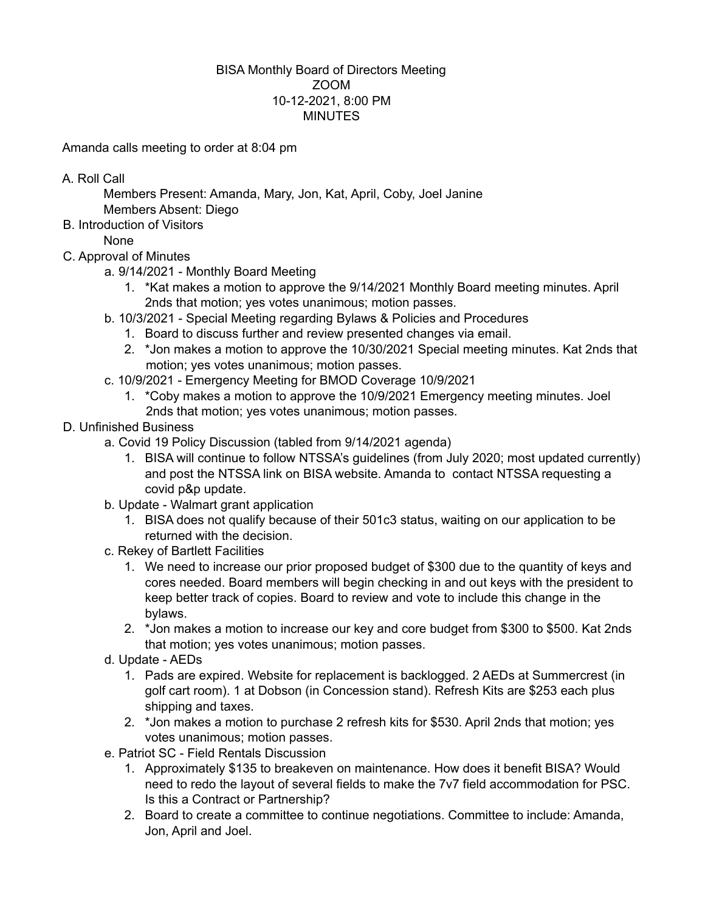## BISA Monthly Board of Directors Meeting ZOOM 10-12-2021, 8:00 PM **MINUTES**

Amanda calls meeting to order at 8:04 pm

A. Roll Call

Members Present: Amanda, Mary, Jon, Kat, April, Coby, Joel Janine Members Absent: Diego

B. Introduction of Visitors

None

- C. Approval of Minutes
	- a. 9/14/2021 Monthly Board Meeting
		- 1. \*Kat makes a motion to approve the 9/14/2021 Monthly Board meeting minutes. April 2nds that motion; yes votes unanimous; motion passes.
	- b. 10/3/2021 Special Meeting regarding Bylaws & Policies and Procedures
		- 1. Board to discuss further and review presented changes via email.
		- 2. \*Jon makes a motion to approve the 10/30/2021 Special meeting minutes. Kat 2nds that motion; yes votes unanimous; motion passes.
	- c. 10/9/2021 Emergency Meeting for BMOD Coverage 10/9/2021
		- 1. \*Coby makes a motion to approve the 10/9/2021 Emergency meeting minutes. Joel 2nds that motion; yes votes unanimous; motion passes.
- D. Unfinished Business
	- a. Covid 19 Policy Discussion (tabled from 9/14/2021 agenda)
		- 1. BISA will continue to follow NTSSA's guidelines (from July 2020; most updated currently) and post the NTSSA link on BISA website. Amanda to contact NTSSA requesting a covid p&p update.
	- b. Update Walmart grant application
		- 1. BISA does not qualify because of their 501c3 status, waiting on our application to be returned with the decision.
	- c. Rekey of Bartlett Facilities
		- 1. We need to increase our prior proposed budget of \$300 due to the quantity of keys and cores needed. Board members will begin checking in and out keys with the president to keep better track of copies. Board to review and vote to include this change in the bylaws.
		- 2. \*Jon makes a motion to increase our key and core budget from \$300 to \$500. Kat 2nds that motion; yes votes unanimous; motion passes.
	- d. Update AEDs
		- 1. Pads are expired. Website for replacement is backlogged. 2 AEDs at Summercrest (in golf cart room). 1 at Dobson (in Concession stand). Refresh Kits are \$253 each plus shipping and taxes.
		- 2. \*Jon makes a motion to purchase 2 refresh kits for \$530. April 2nds that motion; yes votes unanimous; motion passes.
	- e. Patriot SC Field Rentals Discussion
		- 1. Approximately \$135 to breakeven on maintenance. How does it benefit BISA? Would need to redo the layout of several fields to make the 7v7 field accommodation for PSC. Is this a Contract or Partnership?
		- 2. Board to create a committee to continue negotiations. Committee to include: Amanda, Jon, April and Joel.